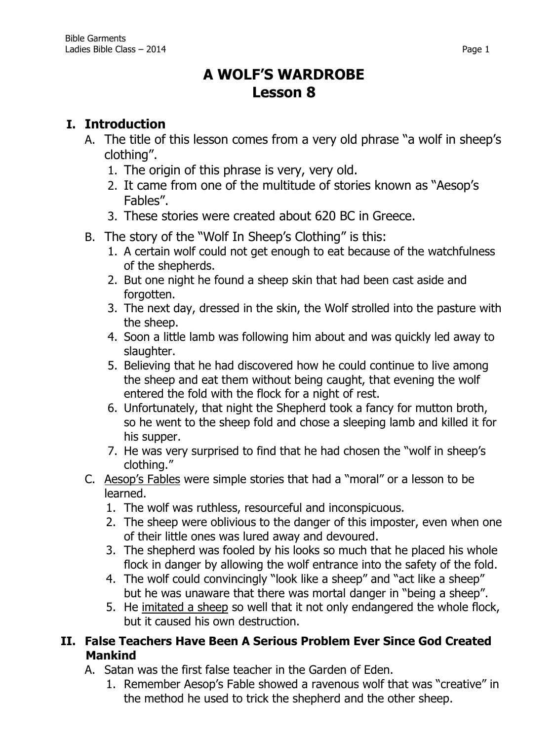# **A WOLF'S WARDROBE Lesson 8**

## **I. Introduction**

- A. The title of this lesson comes from a very old phrase "a wolf in sheep's clothing".
	- 1. The origin of this phrase is very, very old.
	- 2. It came from one of the multitude of stories known as "Aesop's Fables".
	- 3. These stories were created about 620 BC in Greece.
- B. The story of the "Wolf In Sheep's Clothing" is this:
	- 1. A certain wolf could not get enough to eat because of the watchfulness of the shepherds.
	- 2. But one night he found a sheep skin that had been cast aside and forgotten.
	- 3. The next day, dressed in the skin, the Wolf strolled into the pasture with the sheep.
	- 4. Soon a little lamb was following him about and was quickly led away to slaughter.
	- 5. Believing that he had discovered how he could continue to live among the sheep and eat them without being caught, that evening the wolf entered the fold with the flock for a night of rest.
	- 6. Unfortunately, that night the Shepherd took a fancy for mutton broth, so he went to the sheep fold and chose a sleeping lamb and killed it for his supper.
	- 7. He was very surprised to find that he had chosen the "wolf in sheep's clothing."
- C. Aesop's Fables were simple stories that had a "moral" or a lesson to be learned.
	- 1. The wolf was ruthless, resourceful and inconspicuous.
	- 2. The sheep were oblivious to the danger of this imposter, even when one of their little ones was lured away and devoured.
	- 3. The shepherd was fooled by his looks so much that he placed his whole flock in danger by allowing the wolf entrance into the safety of the fold.
	- 4. The wolf could convincingly "look like a sheep" and "act like a sheep" but he was unaware that there was mortal danger in "being a sheep".
	- 5. He imitated a sheep so well that it not only endangered the whole flock, but it caused his own destruction.

## **II. False Teachers Have Been A Serious Problem Ever Since God Created Mankind**

- A. Satan was the first false teacher in the Garden of Eden.
	- 1. Remember Aesop's Fable showed a ravenous wolf that was "creative" in the method he used to trick the shepherd and the other sheep.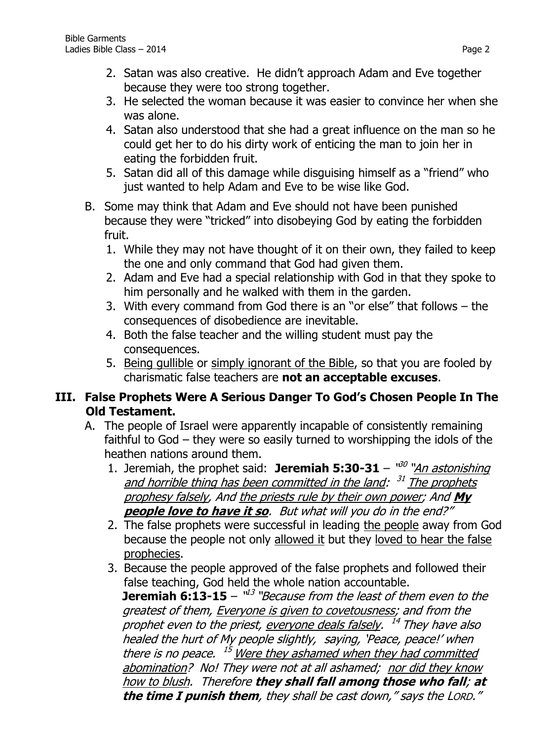- 2. Satan was also creative. He didn't approach Adam and Eve together because they were too strong together.
- 3. He selected the woman because it was easier to convince her when she was alone.
- 4. Satan also understood that she had a great influence on the man so he could get her to do his dirty work of enticing the man to join her in eating the forbidden fruit.
- 5. Satan did all of this damage while disguising himself as a "friend" who just wanted to help Adam and Eve to be wise like God.
- B. Some may think that Adam and Eve should not have been punished because they were "tricked" into disobeying God by eating the forbidden fruit.
	- 1. While they may not have thought of it on their own, they failed to keep the one and only command that God had given them.
	- 2. Adam and Eve had a special relationship with God in that they spoke to him personally and he walked with them in the garden.
	- 3. With every command from God there is an "or else" that follows the consequences of disobedience are inevitable.
	- 4. Both the false teacher and the willing student must pay the consequences.
	- 5. Being gullible or simply ignorant of the Bible, so that you are fooled by charismatic false teachers are **not an acceptable excuses**.

## **III. False Prophets Were A Serious Danger To God's Chosen People In The Old Testament.**

- A. The people of Israel were apparently incapable of consistently remaining faithful to God – they were so easily turned to worshipping the idols of the heathen nations around them.
	- 1. Jeremiah, the prophet said: Jeremiah 5:30-31 <sup>100</sup> "*An astonishing* and horrible thing has been committed in the land: <sup>31</sup> The prophets prophesy falsely, And the priests rule by their own power; And **My people love to have it so**. But what will you do in the end?"
	- 2. The false prophets were successful in leading the people away from God because the people not only allowed it but they loved to hear the false prophecies.
	- 3. Because the people approved of the false prophets and followed their false teaching, God held the whole nation accountable. **Jeremiah 6:13-15** – "<sup>13</sup> "Because from the least of them even to the greatest of them, Everyone is given to covetousness; and from the prophet even to the priest, <u>everyone deals falsely</u>. <sup>14</sup> They have also healed the hurt of My people slightly, saying, 'Peace, peace!' when there is no peace. <sup>15</sup> Were they ashamed when they had committed abomination? No! They were not at all ashamed; nor did they know how to blush. Therefore **they shall fall among those who fall**; **at the time I punish them**, they shall be cast down," says the LORD."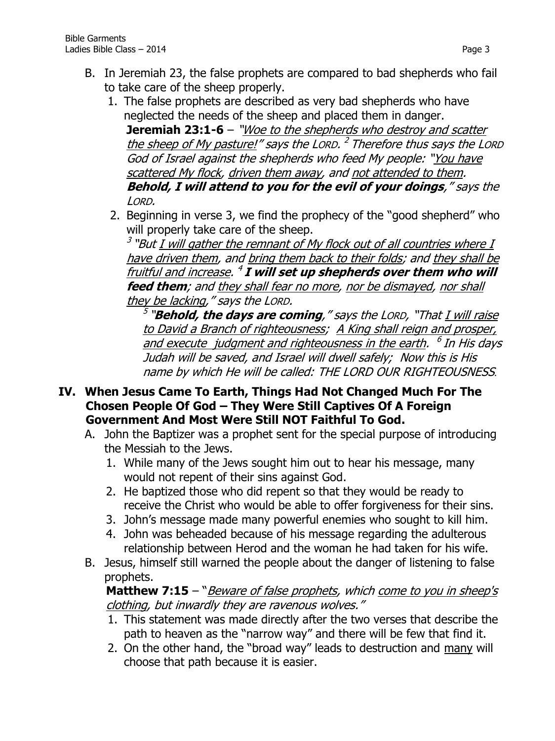- B. In Jeremiah 23, the false prophets are compared to bad shepherds who fail to take care of the sheep properly.
	- 1. The false prophets are described as very bad shepherds who have neglected the needs of the sheep and placed them in danger. **Jeremiah 23:1-6** – "Woe to the shepherds who destroy and scatter the sheep of My pasture!" says the LORD. <sup>2</sup> Therefore thus says the LORD God of Israel against the shepherds who feed My people: "You have scattered My flock, driven them away, and not attended to them. **Behold, I will attend to you for the evil of your doings**," says the LORD.
	- 2. Beginning in verse 3, we find the prophecy of the "good shepherd" who will properly take care of the sheep.

 $^3$  "But <u>I will gather the remnant of My flock out of all countries where I</u> have driven them, and bring them back to their folds; and they shall be fruitful and increase. 4 **I will set up shepherds over them who will feed them**; and they shall fear no more, nor be dismayed, nor shall they be lacking," says the LORD.

<sup>5</sup> "**Behold, the days are coming**," says the LORD, "That <u>I will raise</u> to David a Branch of righteousness; A King shall reign and prosper, and execute judgment and righteousness in the earth. <sup>6</sup> In His days Judah will be saved, and Israel will dwell safely; Now this is His name by which He will be called: THE LORD OUR RIGHTEOUSNESS.

- **IV. When Jesus Came To Earth, Things Had Not Changed Much For The Chosen People Of God – They Were Still Captives Of A Foreign Government And Most Were Still NOT Faithful To God.**
	- A. John the Baptizer was a prophet sent for the special purpose of introducing the Messiah to the Jews.
		- 1. While many of the Jews sought him out to hear his message, many would not repent of their sins against God.
		- 2. He baptized those who did repent so that they would be ready to receive the Christ who would be able to offer forgiveness for their sins.
		- 3. John's message made many powerful enemies who sought to kill him.
		- 4. John was beheaded because of his message regarding the adulterous relationship between Herod and the woman he had taken for his wife.
	- B. Jesus, himself still warned the people about the danger of listening to false prophets.

#### **Matthew 7:15** – "Beware of false prophets, which come to you in sheep's clothing, but inwardly they are ravenous wolves."

- 1. This statement was made directly after the two verses that describe the path to heaven as the "narrow way" and there will be few that find it.
- 2. On the other hand, the "broad way" leads to destruction and many will choose that path because it is easier.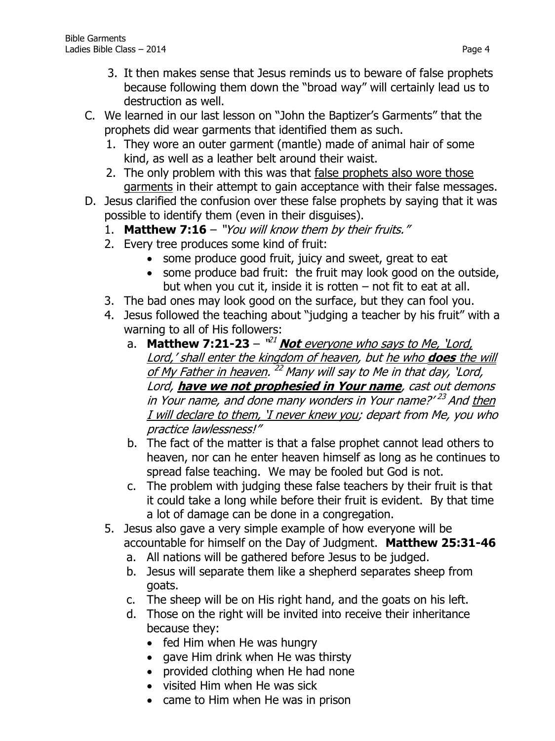- 3. It then makes sense that Jesus reminds us to beware of false prophets because following them down the "broad way" will certainly lead us to destruction as well.
- C. We learned in our last lesson on "John the Baptizer's Garments" that the prophets did wear garments that identified them as such.
	- 1. They wore an outer garment (mantle) made of animal hair of some kind, as well as a leather belt around their waist.
	- 2. The only problem with this was that false prophets also wore those garments in their attempt to gain acceptance with their false messages.
- D. Jesus clarified the confusion over these false prophets by saying that it was possible to identify them (even in their disguises).
	- 1. **Matthew 7:16** "You will know them by their fruits."
	- 2. Every tree produces some kind of fruit:
		- some produce good fruit, juicy and sweet, great to eat
		- some produce bad fruit: the fruit may look good on the outside, but when you cut it, inside it is rotten – not fit to eat at all.
	- 3. The bad ones may look good on the surface, but they can fool you.
	- 4. Jesus followed the teaching about "judging a teacher by his fruit" with a warning to all of His followers:
		- a. **Matthew 7:21-23** "<sup>21</sup> Not everyone who says to Me, 'Lord, Lord,' shall enter the kingdom of heaven, but he who **does** the will of My Father in heaven. <sup>22</sup> Many will say to Me in that day, 'Lord, Lord, **have we not prophesied in Your name**, cast out demons in Your name, and done many wonders in Your name?' <sup>23</sup> And <u>then</u> I will declare to them, 'I never knew you; depart from Me, you who practice lawlessness!"
		- b. The fact of the matter is that a false prophet cannot lead others to heaven, nor can he enter heaven himself as long as he continues to spread false teaching. We may be fooled but God is not.
		- c. The problem with judging these false teachers by their fruit is that it could take a long while before their fruit is evident. By that time a lot of damage can be done in a congregation.
	- 5. Jesus also gave a very simple example of how everyone will be accountable for himself on the Day of Judgment. **Matthew 25:31-46**
		- a. All nations will be gathered before Jesus to be judged.
		- b. Jesus will separate them like a shepherd separates sheep from goats.
		- c. The sheep will be on His right hand, and the goats on his left.
		- d. Those on the right will be invited into receive their inheritance because they:
			- fed Him when He was hungry
			- gave Him drink when He was thirsty
			- provided clothing when He had none
			- visited Him when He was sick
			- came to Him when He was in prison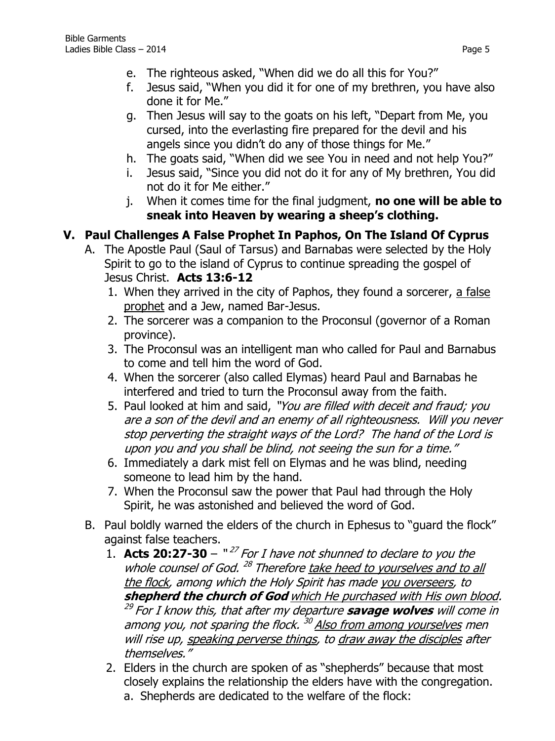- f. Jesus said, "When you did it for one of my brethren, you have also done it for Me."
- g. Then Jesus will say to the goats on his left, "Depart from Me, you cursed, into the everlasting fire prepared for the devil and his angels since you didn't do any of those things for Me."
- h. The goats said, "When did we see You in need and not help You?"
- i. Jesus said, "Since you did not do it for any of My brethren, You did not do it for Me either."
- j. When it comes time for the final judgment, **no one will be able to sneak into Heaven by wearing a sheep's clothing.**

## **V. Paul Challenges A False Prophet In Paphos, On The Island Of Cyprus**

- A. The Apostle Paul (Saul of Tarsus) and Barnabas were selected by the Holy Spirit to go to the island of Cyprus to continue spreading the gospel of Jesus Christ. **Acts 13:6-12**
	- 1. When they arrived in the city of Paphos, they found a sorcerer, a false prophet and a Jew, named Bar-Jesus.
	- 2. The sorcerer was a companion to the Proconsul (governor of a Roman province).
	- 3. The Proconsul was an intelligent man who called for Paul and Barnabus to come and tell him the word of God.
	- 4. When the sorcerer (also called Elymas) heard Paul and Barnabas he interfered and tried to turn the Proconsul away from the faith.
	- 5. Paul looked at him and said, "You are filled with deceit and fraud; you are a son of the devil and an enemy of all righteousness. Will you never stop perverting the straight ways of the Lord? The hand of the Lord is upon you and you shall be blind, not seeing the sun for a time."
	- 6. Immediately a dark mist fell on Elymas and he was blind, needing someone to lead him by the hand.
	- 7. When the Proconsul saw the power that Paul had through the Holy Spirit, he was astonished and believed the word of God.
- B. Paul boldly warned the elders of the church in Ephesus to "guard the flock" against false teachers.
	- 1. **Acts 20:27-30**  $127$  For I have not shunned to declare to you the whole counsel of God.<sup>28</sup> Therefore take heed to yourselves and to all the flock, among which the Holy Spirit has made you overseers, to **shepherd the church of God** which He purchased with His own blood. <sup>29</sup> For I know this, that after my departure **savage wolves** will come in among you, not sparing the flock. <sup>30</sup> Also from among yourselves men will rise up, speaking perverse things, to draw away the disciples after themselves."
	- 2. Elders in the church are spoken of as "shepherds" because that most closely explains the relationship the elders have with the congregation.
		- a. Shepherds are dedicated to the welfare of the flock: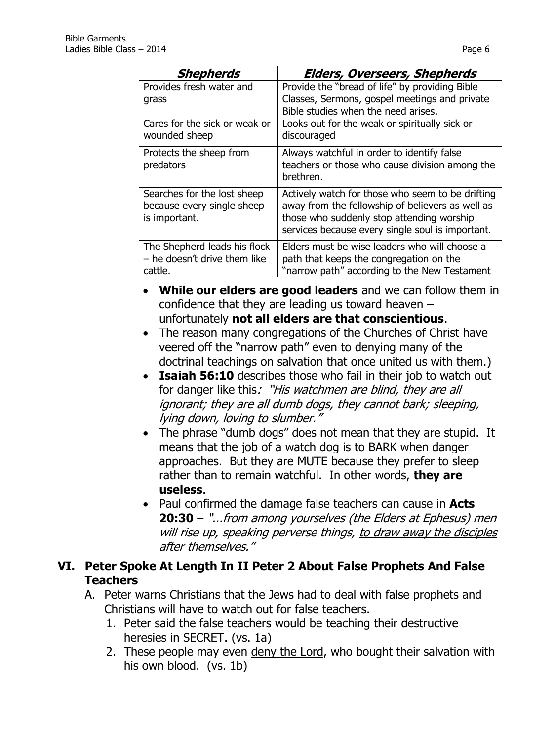| Shepherds                                                                  | <b>Elders, Overseers, Shepherds</b>                                                                                                                                                                   |
|----------------------------------------------------------------------------|-------------------------------------------------------------------------------------------------------------------------------------------------------------------------------------------------------|
| Provides fresh water and                                                   | Provide the "bread of life" by providing Bible                                                                                                                                                        |
| grass                                                                      | Classes, Sermons, gospel meetings and private<br>Bible studies when the need arises.                                                                                                                  |
| Cares for the sick or weak or<br>wounded sheep                             | Looks out for the weak or spiritually sick or<br>discouraged                                                                                                                                          |
| Protects the sheep from<br>predators                                       | Always watchful in order to identify false<br>teachers or those who cause division among the<br>brethren.                                                                                             |
| Searches for the lost sheep<br>because every single sheep<br>is important. | Actively watch for those who seem to be drifting<br>away from the fellowship of believers as well as<br>those who suddenly stop attending worship<br>services because every single soul is important. |
| The Shepherd leads his flock<br>- he doesn't drive them like<br>cattle.    | Elders must be wise leaders who will choose a<br>path that keeps the congregation on the<br>"narrow path" according to the New Testament                                                              |

- **While our elders are good leaders** and we can follow them in confidence that they are leading us toward heaven – unfortunately **not all elders are that conscientious**.
- The reason many congregations of the Churches of Christ have veered off the "narrow path" even to denying many of the doctrinal teachings on salvation that once united us with them.)
- **Isaiah 56:10** describes those who fail in their job to watch out for danger like this: "His watchmen are blind, they are all ignorant; they are all dumb dogs, they cannot bark; sleeping, lying down, loving to slumber."
- The phrase "dumb dogs" does not mean that they are stupid. It means that the job of a watch dog is to BARK when danger approaches. But they are MUTE because they prefer to sleep rather than to remain watchful. In other words, **they are useless**.
- Paul confirmed the damage false teachers can cause in **Acts 20:30** – "...from among yourselves (the Elders at Ephesus) men will rise up, speaking perverse things, to draw away the disciples after themselves."

## **VI. Peter Spoke At Length In II Peter 2 About False Prophets And False Teachers**

- A. Peter warns Christians that the Jews had to deal with false prophets and Christians will have to watch out for false teachers.
	- 1. Peter said the false teachers would be teaching their destructive heresies in SECRET. (vs. 1a)
	- 2. These people may even deny the Lord, who bought their salvation with his own blood. (vs. 1b)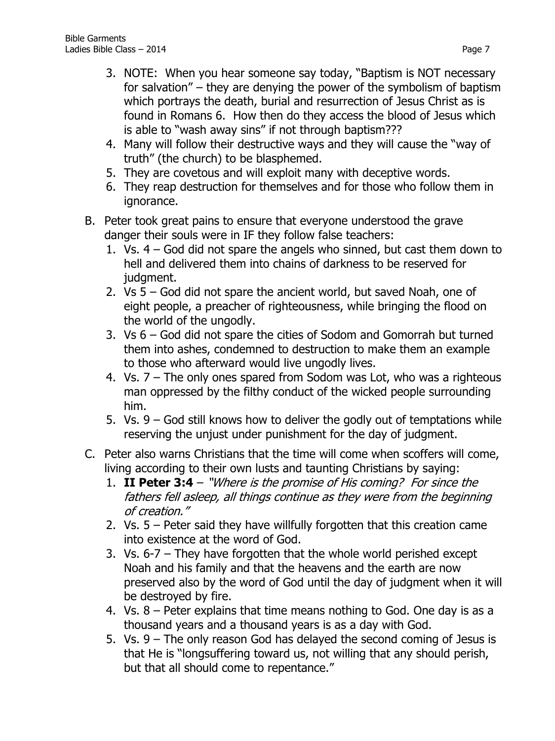- 3. NOTE: When you hear someone say today, "Baptism is NOT necessary for salvation" – they are denying the power of the symbolism of baptism which portrays the death, burial and resurrection of Jesus Christ as is found in Romans 6. How then do they access the blood of Jesus which is able to "wash away sins" if not through baptism???
- 4. Many will follow their destructive ways and they will cause the "way of truth" (the church) to be blasphemed.
- 5. They are covetous and will exploit many with deceptive words.
- 6. They reap destruction for themselves and for those who follow them in ignorance.
- B. Peter took great pains to ensure that everyone understood the grave danger their souls were in IF they follow false teachers:
	- 1. Vs. 4 God did not spare the angels who sinned, but cast them down to hell and delivered them into chains of darkness to be reserved for judgment.
	- 2. Vs 5 God did not spare the ancient world, but saved Noah, one of eight people, a preacher of righteousness, while bringing the flood on the world of the ungodly.
	- 3. Vs 6 God did not spare the cities of Sodom and Gomorrah but turned them into ashes, condemned to destruction to make them an example to those who afterward would live ungodly lives.
	- 4. Vs. 7 The only ones spared from Sodom was Lot, who was a righteous man oppressed by the filthy conduct of the wicked people surrounding him.
	- 5. Vs. 9 God still knows how to deliver the godly out of temptations while reserving the unjust under punishment for the day of judgment.
- C. Peter also warns Christians that the time will come when scoffers will come, living according to their own lusts and taunting Christians by saying:
	- 1. **II Peter 3:4** "Where is the promise of His coming? For since the fathers fell asleep, all things continue as they were from the beginning of creation."
	- 2. Vs. 5 Peter said they have willfully forgotten that this creation came into existence at the word of God.
	- 3. Vs. 6-7 They have forgotten that the whole world perished except Noah and his family and that the heavens and the earth are now preserved also by the word of God until the day of judgment when it will be destroyed by fire.
	- 4. Vs. 8 Peter explains that time means nothing to God. One day is as a thousand years and a thousand years is as a day with God.
	- 5. Vs. 9 The only reason God has delayed the second coming of Jesus is that He is "longsuffering toward us, not willing that any should perish, but that all should come to repentance."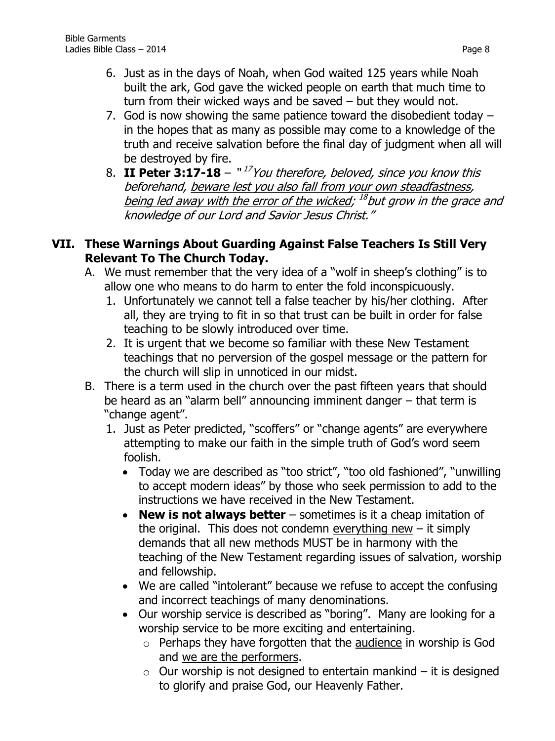- 6. Just as in the days of Noah, when God waited 125 years while Noah built the ark, God gave the wicked people on earth that much time to turn from their wicked ways and be saved – but they would not.
- 7. God is now showing the same patience toward the disobedient today in the hopes that as many as possible may come to a knowledge of the truth and receive salvation before the final day of judgment when all will be destroyed by fire.
- 8. **II Peter 3:17-18** " 17 You therefore, beloved, since you know this beforehand, beware lest you also fall from your own steadfastness, <u>being led away with the error of the wicked</u>; <sup>18</sup>but grow in the grace and knowledge of our Lord and Savior Jesus Christ."

### **VII. These Warnings About Guarding Against False Teachers Is Still Very Relevant To The Church Today.**

- A. We must remember that the very idea of a "wolf in sheep's clothing" is to allow one who means to do harm to enter the fold inconspicuously.
	- 1. Unfortunately we cannot tell a false teacher by his/her clothing. After all, they are trying to fit in so that trust can be built in order for false teaching to be slowly introduced over time.
	- 2. It is urgent that we become so familiar with these New Testament teachings that no perversion of the gospel message or the pattern for the church will slip in unnoticed in our midst.
- B. There is a term used in the church over the past fifteen years that should be heard as an "alarm bell" announcing imminent danger – that term is "change agent".
	- 1. Just as Peter predicted, "scoffers" or "change agents" are everywhere attempting to make our faith in the simple truth of God's word seem foolish.
		- Today we are described as "too strict", "too old fashioned", "unwilling to accept modern ideas" by those who seek permission to add to the instructions we have received in the New Testament.
		- **New is not always better** sometimes is it a cheap imitation of the original. This does not condemn everything new  $-$  it simply demands that all new methods MUST be in harmony with the teaching of the New Testament regarding issues of salvation, worship and fellowship.
		- We are called "intolerant" because we refuse to accept the confusing and incorrect teachings of many denominations.
		- Our worship service is described as "boring". Many are looking for a worship service to be more exciting and entertaining.
			- o Perhaps they have forgotten that the audience in worship is God and we are the performers.
			- $\circ$  Our worship is not designed to entertain mankind it is designed to glorify and praise God, our Heavenly Father.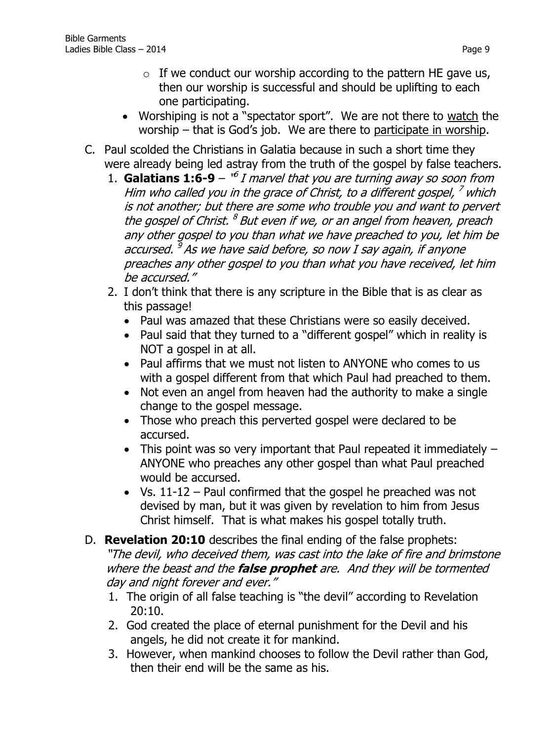- Worshiping is not a "spectator sport". We are not there to watch the worship – that is God's job. We are there to participate in worship.
- C. Paul scolded the Christians in Galatia because in such a short time they were already being led astray from the truth of the gospel by false teachers.
	- 1. **Galatians 1:6-9**  $\mathbf{B}^{\prime\prime}$  *I marvel that you are turning away so soon from* Him who called you in the grace of Christ, to a different gospel, <sup>7</sup> which is not another; but there are some who trouble you and want to pervert the gospel of Christ. <sup>8</sup> But even if we, or an angel from heaven, preach any other gospel to you than what we have preached to you, let him be accursed. <sup>9</sup> As we have said before, so now I say again, if anyone preaches any other gospel to you than what you have received, let him be accursed."
	- 2. I don't think that there is any scripture in the Bible that is as clear as this passage!
		- Paul was amazed that these Christians were so easily deceived.
		- Paul said that they turned to a "different gospel" which in reality is NOT a gospel in at all.
		- Paul affirms that we must not listen to ANYONE who comes to us with a gospel different from that which Paul had preached to them.
		- Not even an angel from heaven had the authority to make a single change to the gospel message.
		- Those who preach this perverted gospel were declared to be accursed.
		- This point was so very important that Paul repeated it immediately  $-$ ANYONE who preaches any other gospel than what Paul preached would be accursed.
		- Vs.  $11-12$  Paul confirmed that the gospel he preached was not devised by man, but it was given by revelation to him from Jesus Christ himself. That is what makes his gospel totally truth.
- D. **Revelation 20:10** describes the final ending of the false prophets: "The devil, who deceived them, was cast into the lake of fire and brimstone where the beast and the **false prophet** are. And they will be tormented day and night forever and ever."
	- 1. The origin of all false teaching is "the devil" according to Revelation 20:10.
	- 2. God created the place of eternal punishment for the Devil and his angels, he did not create it for mankind.
	- 3. However, when mankind chooses to follow the Devil rather than God, then their end will be the same as his.